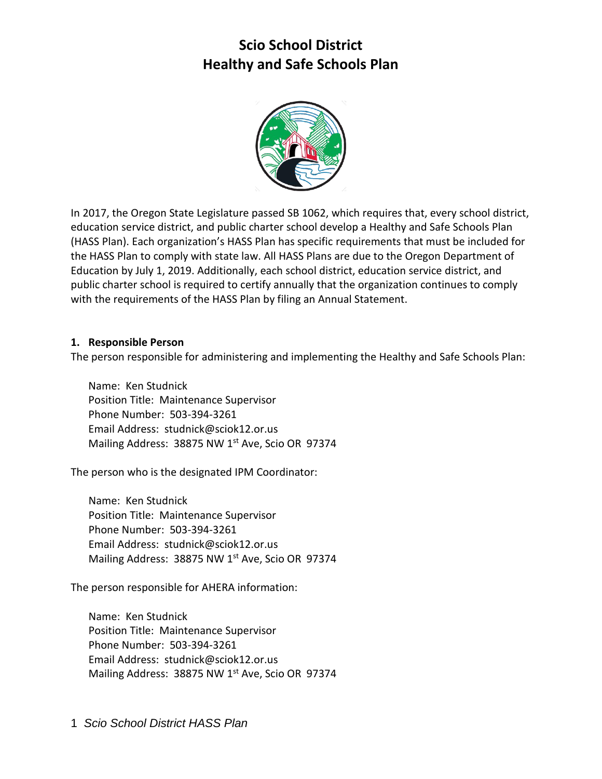

 In 2017, the Oregon State Legislature passed SB 1062, which requires that, every school district, education service district, and public charter school develop a Healthy and Safe Schools Plan (HASS Plan). Each organization's HASS Plan has specific requirements that must be included for the HASS Plan to comply with state law. All HASS Plans are due to the Oregon Department of Education by July 1, 2019. Additionally, each school district, education service district, and public charter school is required to certify annually that the organization continues to comply with the requirements of the HASS Plan by filing an Annual Statement.

#### **1. Responsible Person**

The person responsible for administering and implementing the Healthy and Safe Schools Plan:

 Name: Ken Studnick Position Title: Maintenance Supervisor Phone Number: 503-394-3261 Email Address: studnick@sciok12.or.us Mailing Address: 38875 NW 1<sup>st</sup> Ave, Scio OR 97374

The person who is the designated IPM Coordinator:

 Name: Ken Studnick Position Title: Maintenance Supervisor Phone Number: 503-394-3261 Email Address: studnick@sciok12.or.us Mailing Address: 38875 NW 1<sup>st</sup> Ave, Scio OR 97374

The person responsible for AHERA information:

 Name: Ken Studnick Position Title: Maintenance Supervisor Phone Number: 503-394-3261 Email Address: studnick@sciok12.or.us Mailing Address: 38875 NW 1<sup>st</sup> Ave, Scio OR 97374

1 *Scio School District HASS Plan*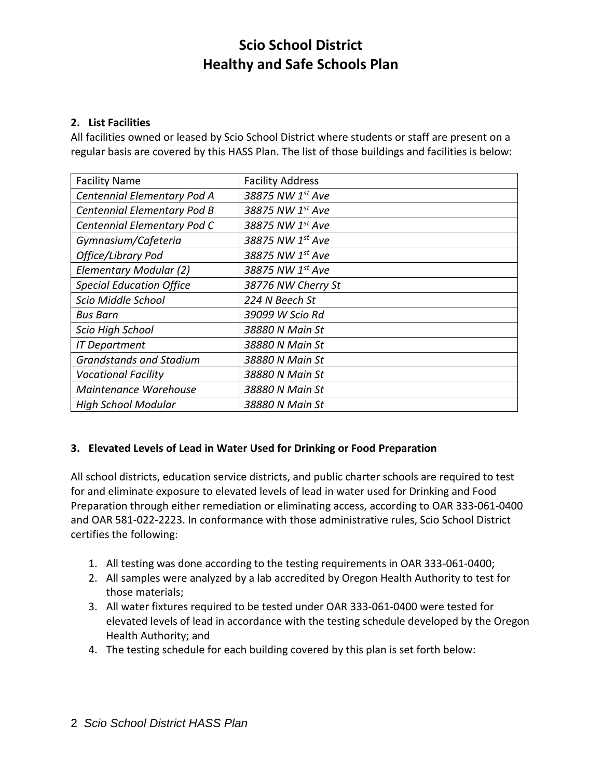#### **2. List Facilities**

 All facilities owned or leased by Scio School District where students or staff are present on a regular basis are covered by this HASS Plan. The list of those buildings and facilities is below:

| <b>Facility Name</b>            | <b>Facility Address</b> |
|---------------------------------|-------------------------|
| Centennial Elementary Pod A     | 38875 NW 1st Ave        |
| Centennial Elementary Pod B     | 38875 NW 1st Ave        |
| Centennial Elementary Pod C     | 38875 NW 1st Ave        |
| Gymnasium/Cafeteria             | 38875 NW 1st Ave        |
| Office/Library Pod              | 38875 NW 1st Ave        |
| Elementary Modular (2)          | 38875 NW 1st Ave        |
| <b>Special Education Office</b> | 38776 NW Cherry St      |
| Scio Middle School              | 224 N Beech St          |
| <b>Bus Barn</b>                 | 39099 W Scio Rd         |
| Scio High School                | 38880 N Main St         |
| <b>IT Department</b>            | 38880 N Main St         |
| <b>Grandstands and Stadium</b>  | 38880 N Main St         |
| <b>Vocational Facility</b>      | 38880 N Main St         |
| Maintenance Warehouse           | 38880 N Main St         |
| <b>High School Modular</b>      | 38880 N Main St         |

#### **3. Elevated Levels of Lead in Water Used for Drinking or Food Preparation**

 All school districts, education service districts, and public charter schools are required to test for and eliminate exposure to elevated levels of lead in water used for Drinking and Food Preparation through either remediation or eliminating access, according to OAR 333-061-0400 and OAR 581-022-2223. In conformance with those administrative rules, Scio School District certifies the following:

- 1. All testing was done according to the testing requirements in OAR 333-061-0400;
- 2. All samples were analyzed by a lab accredited by Oregon Health Authority to test for those materials;
- 3. All water fixtures required to be tested under OAR 333-061-0400 were tested for elevated levels of lead in accordance with the testing schedule developed by the Oregon Health Authority; and
- 4. The testing schedule for each building covered by this plan is set forth below: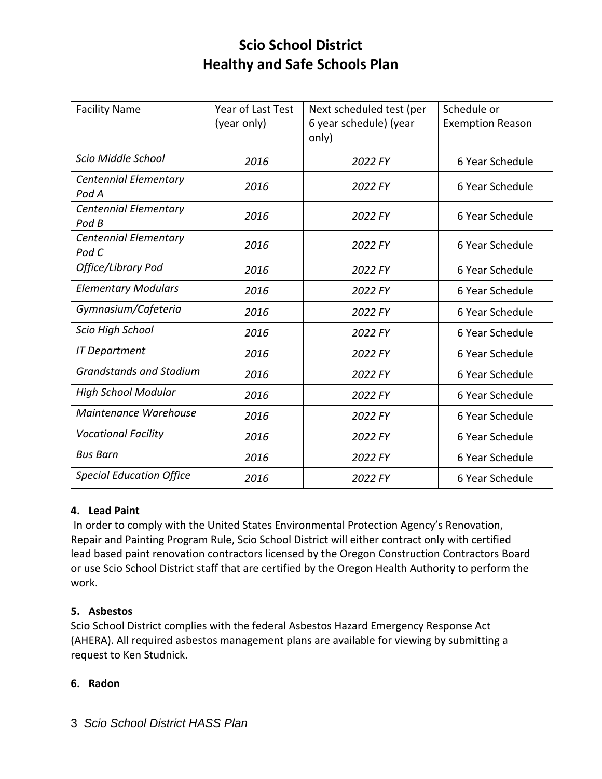| <b>Facility Name</b>                  | Year of Last Test<br>(year only) | Next scheduled test (per<br>6 year schedule) (year | Schedule or<br><b>Exemption Reason</b> |
|---------------------------------------|----------------------------------|----------------------------------------------------|----------------------------------------|
|                                       |                                  | only)                                              |                                        |
| Scio Middle School                    | 2016                             | 2022 FY                                            | 6 Year Schedule                        |
| <b>Centennial Elementary</b><br>Pod A | 2016                             | 2022 FY                                            | 6 Year Schedule                        |
| <b>Centennial Elementary</b><br>Pod B | 2016                             | 2022 FY                                            | 6 Year Schedule                        |
| <b>Centennial Elementary</b><br>Pod C | 2016                             | 2022 FY                                            | 6 Year Schedule                        |
| Office/Library Pod                    | 2016                             | 2022 FY                                            | 6 Year Schedule                        |
| <b>Elementary Modulars</b>            | 2016                             | 2022 FY                                            | 6 Year Schedule                        |
| Gymnasium/Cafeteria                   | 2016                             | 2022 FY                                            | 6 Year Schedule                        |
| Scio High School                      | 2016                             | 2022 FY                                            | 6 Year Schedule                        |
| <b>IT Department</b>                  | 2016                             | 2022 FY                                            | 6 Year Schedule                        |
| <b>Grandstands and Stadium</b>        | 2016                             | 2022 FY                                            | 6 Year Schedule                        |
| <b>High School Modular</b>            | 2016                             | 2022 FY                                            | 6 Year Schedule                        |
| Maintenance Warehouse                 | 2016                             | 2022 FY                                            | 6 Year Schedule                        |
| <b>Vocational Facility</b>            | 2016                             | 2022 FY                                            | 6 Year Schedule                        |
| <b>Bus Barn</b>                       | 2016                             | 2022 FY                                            | 6 Year Schedule                        |
| <b>Special Education Office</b>       | 2016                             | 2022 FY                                            | 6 Year Schedule                        |

## **4. Lead Paint**

 In order to comply with the United States Environmental Protection Agency's Renovation, Repair and Painting Program Rule, Scio School District will either contract only with certified lead based paint renovation contractors licensed by the Oregon Construction Contractors Board or use Scio School District staff that are certified by the Oregon Health Authority to perform the work.

#### **5. Asbestos**

 Scio School District complies with the federal Asbestos Hazard Emergency Response Act (AHERA). All required asbestos management plans are available for viewing by submitting a request to Ken Studnick.

#### **6. Radon**